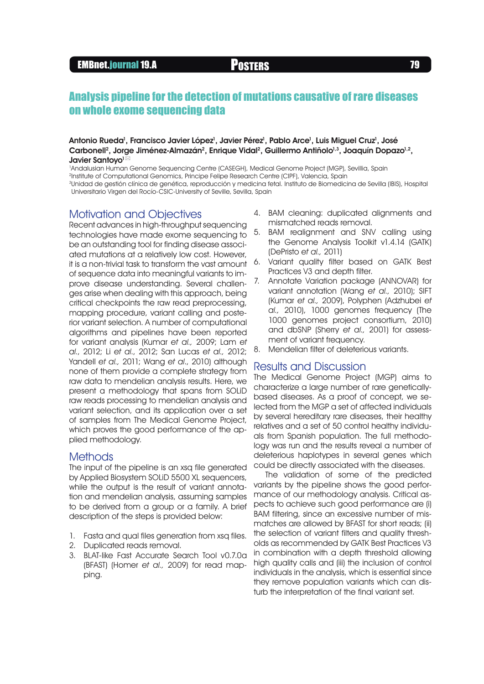# EMBnet.journal 19.A **Posters Posters 79**

# Analysis pipeline for the detection of mutations causative of rare diseases on whole exome sequencing data

#### Antonio Rueda<sup>1</sup>, Francisco Javier López<sup>1</sup>, Javier Pérez<sup>1</sup>, Pablo Arce<sup>1</sup>, Luis Miguel Cruz<sup>1</sup>, José Carbonell<sup>2</sup>, Jorge Jiménez-Almazán<sup>2</sup>, Enrique Vidal<sup>2</sup>, Guillermo Antiñolo<sup>1,3</sup>, Joaquín Dopazo<sup>1,2</sup>, Javier Santovo<sup>1⊠</sup>

1 Andalusian Human Genome Sequencing Centre (CASEGH), Medical Genome Project (MGP), Sevillia, Spain 2Institute of Computational Genomics, Principe Felipe Research Centre (CIPF), Valencia, Spain 3Unidad de gestión clínica de genética, reproducción y medicina fetal. Instituto de Biomedicina de Sevilla (IBIS), Hospital Universitario Virgen del Rocío-CSIC-University of Seville, Sevilla, Spain

### Motivation and Objectives

Recent advances in high-throughput sequencing technologies have made exome sequencing to be an outstanding tool for finding disease associated mutations at a relatively low cost. However, it is a non-trivial task to transform the vast amount of sequence data into meaningful variants to improve disease understanding. Several challenges arise when dealing with this approach, being critical checkpoints the raw read preprocessing, mapping procedure, variant calling and posterior variant selection. A number of computational algorithms and pipelines have been reported for variant analysis (Kumar et al., 2009; Lam et al., 2012; Li et al., 2012; San Lucas et al., 2012; Yandell et al., 2011; Wang et al., 2010) although none of them provide a complete strategy from raw data to mendelian analysis results. Here, we present a methodology that spans from SOLiD raw reads processing to mendelian analysis and variant selection, and its application over a set of samples from The Medical Genome Project, which proves the good performance of the applied methodology.

### **Methods**

The input of the pipeline is an xsa file generated by Applied Biosystem SOLiD 5500 XL sequencers, while the output is the result of variant annotation and mendelian analysis, assuming samples to be derived from a group or a family. A brief description of the steps is provided below:

- 1. Fasta and qual files generation from xsa files.
- 2. Duplicated reads removal.
- 3. BLAT-like Fast Accurate Search Tool v0.7.0a (BFAST) (Homer et al., 2009) for read mapping.
- 4. BAM cleaning: duplicated alignments and mismatched reads removal.
- 5. BAM realignment and SNV calling using the Genome Analysis Toolkit v1.4.14 (GATK) (DePristo et al., 2011)
- 6. Variant quality filter based on GATK Best Practices V3 and depth filter.
- 7. Annotate Variation package (ANNOVAR) for variant annotation (Wana et al., 2010); SIFT (Kumar et al., 2009), Polyphen (Adzhubei et al., 2010), 1000 genomes frequency (The 1000 genomes project consortium, 2010) and dbSNP (Sherry et al., 2001) for assessment of variant frequency.
- 8. Mendelian filter of deleterious variants.

### Results and Discussion

The Medical Genome Project (MGP) aims to characterize a large number of rare geneticallybased diseases. As a proof of concept, we selected from the MGP a set of affected individuals by several hereditary rare diseases, their healthy relatives and a set of 50 control healthy individuals from Spanish population. The full methodology was run and the results reveal a number of deleterious haplotypes in several genes which could be directly associated with the diseases.

The validation of some of the predicted variants by the pipeline shows the good performance of our methodology analysis. Critical aspects to achieve such good performance are (i) BAM filtering, since an excessive number of mismatches are allowed by BFAST for short reads; (ii) the selection of variant filters and quality thresholds as recommended by GATK Best Practices V3 in combination with a depth threshold allowing high quality calls and (iii) the inclusion of control individuals in the analysis, which is essential since they remove population variants which can disturb the interpretation of the final variant set.